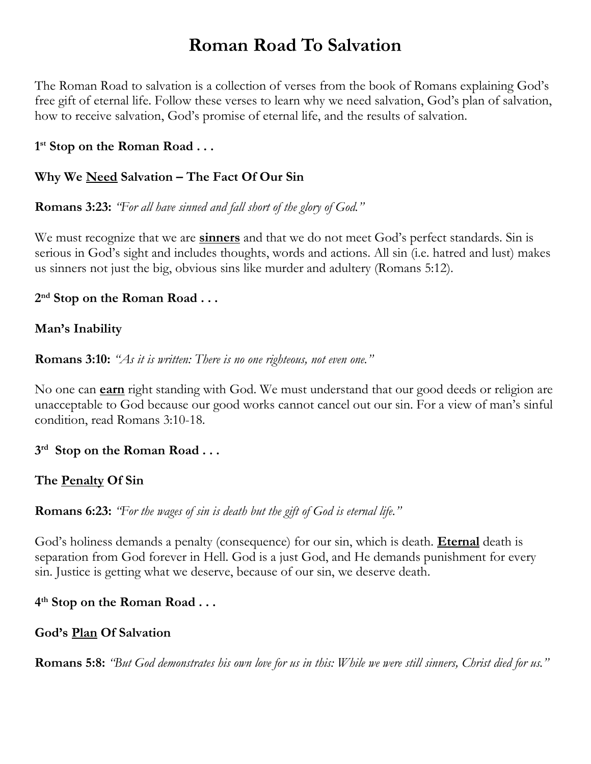# **Roman Road To Salvation**

The Roman Road to salvation is a collection of verses from the book of Romans explaining God's free gift of eternal life. Follow these verses to learn why we need salvation, God's plan of salvation, how to receive salvation, God's promise of eternal life, and the results of salvation.

#### **1 st Stop on the Roman Road . . .**

#### **Why We Need Salvation – The Fact Of Our Sin**

**Romans 3:23:** *"For all have sinned and fall short of the glory of God."*

We must recognize that we are **sinners** and that we do not meet God's perfect standards. Sin is serious in God's sight and includes thoughts, words and actions. All sin (i.e. hatred and lust) makes us sinners not just the big, obvious sins like murder and adultery (Romans 5:12).

#### **2 nd Stop on the Roman Road . . .**

#### **Man's Inability**

**Romans 3:10:** *"As it is written: There is no one righteous, not even one."*

No one can **earn** right standing with God. We must understand that our good deeds or religion are unacceptable to God because our good works cannot cancel out our sin. For a view of man's sinful condition, read Romans 3:10-18.

#### **3 rd Stop on the Roman Road . . .**

#### **The Penalty Of Sin**

**Romans 6:23:** *"For the wages of sin is death but the gift of God is eternal life."*

God's holiness demands a penalty (consequence) for our sin, which is death. **Eternal** death is separation from God forever in Hell. God is a just God, and He demands punishment for every sin. Justice is getting what we deserve, because of our sin, we deserve death.

#### **4 th Stop on the Roman Road . . .**

#### **God's Plan Of Salvation**

**Romans 5:8:** *"But God demonstrates his own love for us in this: While we were still sinners, Christ died for us."*